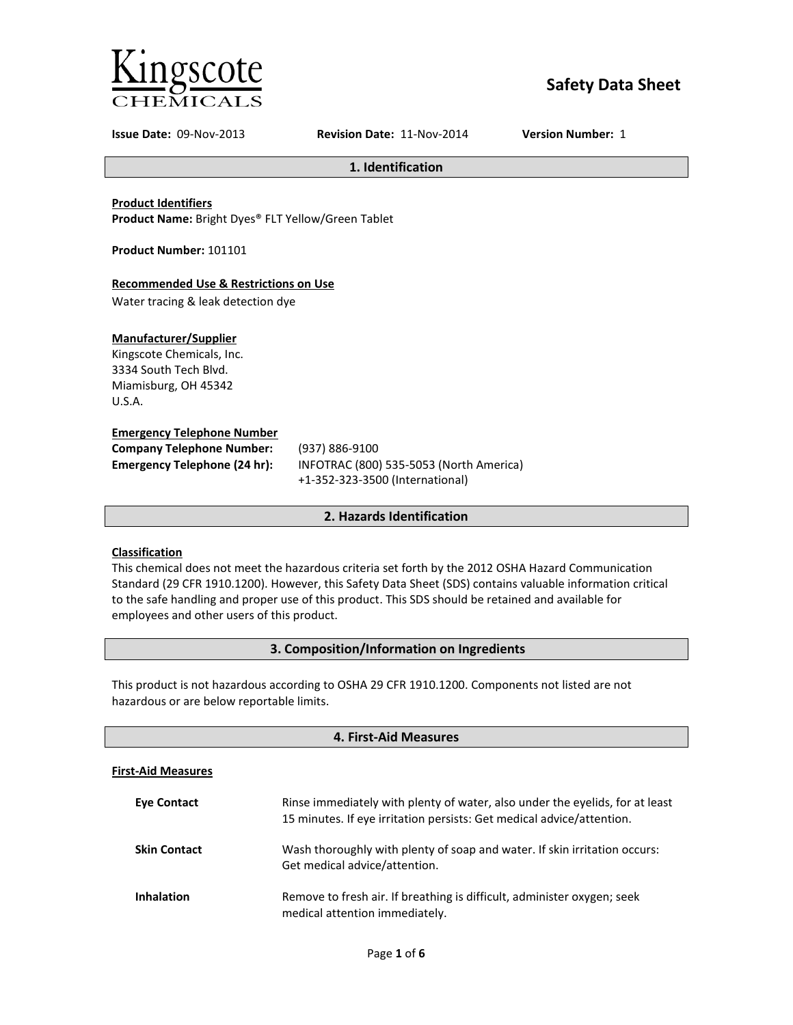

# **Safety Data Sheet**

**Issue Date:** 09-Nov-2013 **Revision Date:** 11-Nov-2014 **Version Number:** 1

**1. Identification**

#### **Product Identifiers**

**Product Name:** Bright Dyes® FLT Yellow/Green Tablet

**Product Number:** 101101

#### **Recommended Use & Restrictions on Use**

Water tracing & leak detection dye

#### **Manufacturer/Supplier**

Kingscote Chemicals, Inc. 3334 South Tech Blvd. Miamisburg, OH 45342 U.S.A.

#### **Emergency Telephone Number**

| <b>Company Telephone Number:</b> | (937)       |
|----------------------------------|-------------|
| Emergency Telephone (24 hr):     | <b>INFO</b> |
|                                  |             |

**Company Telephone Number:** (937) 886-9100 **Emergency Telephone (24 hr):** INFOTRAC (800) 535-5053 (North America) +1-352-323-3500 (International)

#### **2. Hazards Identification**

#### **Classification**

This chemical does not meet the hazardous criteria set forth by the 2012 OSHA Hazard Communication Standard (29 CFR 1910.1200). However, this Safety Data Sheet (SDS) contains valuable information critical to the safe handling and proper use of this product. This SDS should be retained and available for employees and other users of this product.

#### **3. Composition/Information on Ingredients**

This product is not hazardous according to OSHA 29 CFR 1910.1200. Components not listed are not hazardous or are below reportable limits.

| 4. First-Aid Measures     |                                                                                                                                                       |
|---------------------------|-------------------------------------------------------------------------------------------------------------------------------------------------------|
| <b>First-Aid Measures</b> |                                                                                                                                                       |
| <b>Eve Contact</b>        | Rinse immediately with plenty of water, also under the eyelids, for at least<br>15 minutes. If eye irritation persists: Get medical advice/attention. |
| <b>Skin Contact</b>       | Wash thoroughly with plenty of soap and water. If skin irritation occurs:<br>Get medical advice/attention.                                            |
| <b>Inhalation</b>         | Remove to fresh air. If breathing is difficult, administer oxygen; seek<br>medical attention immediately.                                             |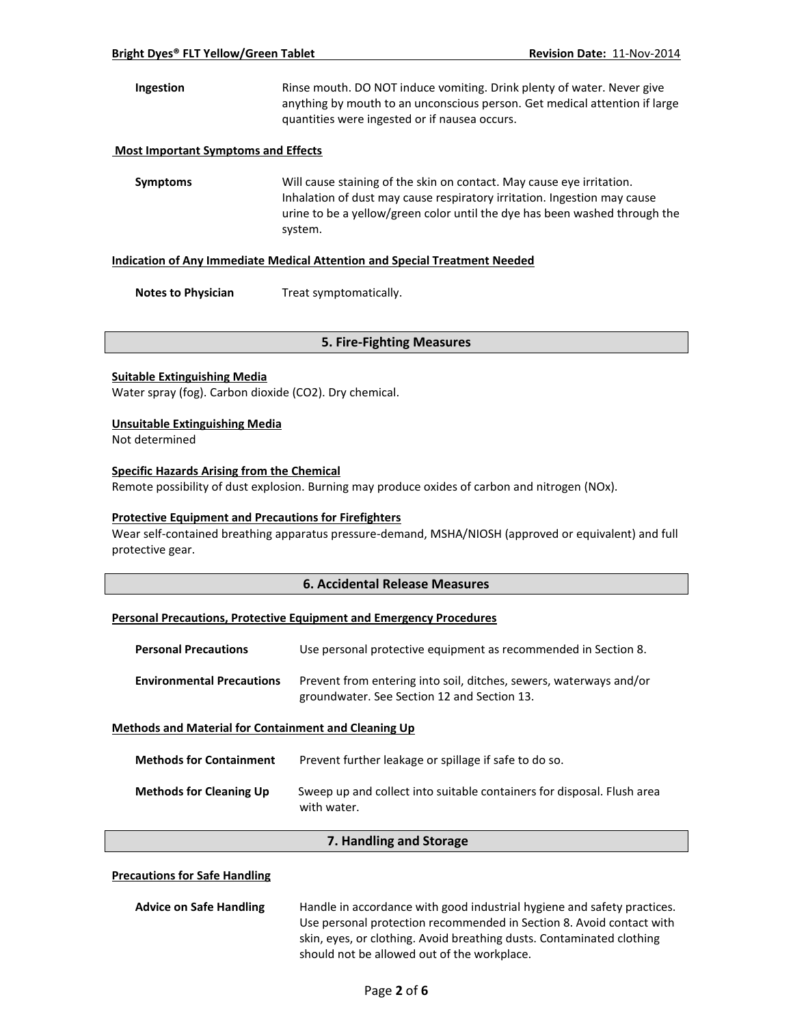**Ingestion** Rinse mouth. DO NOT induce vomiting. Drink plenty of water. Never give anything by mouth to an unconscious person. Get medical attention if large quantities were ingested or if nausea occurs.

#### **Most Important Symptoms and Effects**

**Symptoms** Will cause staining of the skin on contact. May cause eye irritation. Inhalation of dust may cause respiratory irritation. Ingestion may cause urine to be a yellow/green color until the dye has been washed through the system.

#### **Indication of Any Immediate Medical Attention and Special Treatment Needed**

**Notes to Physician** Treat symptomatically.

#### **5. Fire-Fighting Measures**

#### **Suitable Extinguishing Media**

Water spray (fog). Carbon dioxide (CO2). Dry chemical.

#### **Unsuitable Extinguishing Media**

Not determined

#### **Specific Hazards Arising from the Chemical**

Remote possibility of dust explosion. Burning may produce oxides of carbon and nitrogen (NOx).

#### **Protective Equipment and Precautions for Firefighters**

Wear self-contained breathing apparatus pressure-demand, MSHA/NIOSH (approved or equivalent) and full protective gear.

#### **6. Accidental Release Measures**

#### **Personal Precautions, Protective Equipment and Emergency Procedures**

| <b>Personal Precautions</b>                                 | Use personal protective equipment as recommended in Section 8.                                                    |
|-------------------------------------------------------------|-------------------------------------------------------------------------------------------------------------------|
| <b>Environmental Precautions</b>                            | Prevent from entering into soil, ditches, sewers, waterways and/or<br>groundwater. See Section 12 and Section 13. |
| <b>Methods and Material for Containment and Cleaning Up</b> |                                                                                                                   |
| Methods for Containment                                     | Prevent further leakage or spillage if safe to do so                                                              |

| <b>Methods for Cleaning Up</b> | Sweep up and collect into suitable containers for disposal. Flush area<br>with water. |
|--------------------------------|---------------------------------------------------------------------------------------|

#### **7. Handling and Storage**

#### **Precautions for Safe Handling**

| <b>Advice on Safe Handling</b> | Handle in accordance with good industrial hygiene and safety practices. |
|--------------------------------|-------------------------------------------------------------------------|
|                                | Use personal protection recommended in Section 8. Avoid contact with    |
|                                | skin, eyes, or clothing. Avoid breathing dusts. Contaminated clothing   |
|                                | should not be allowed out of the workplace.                             |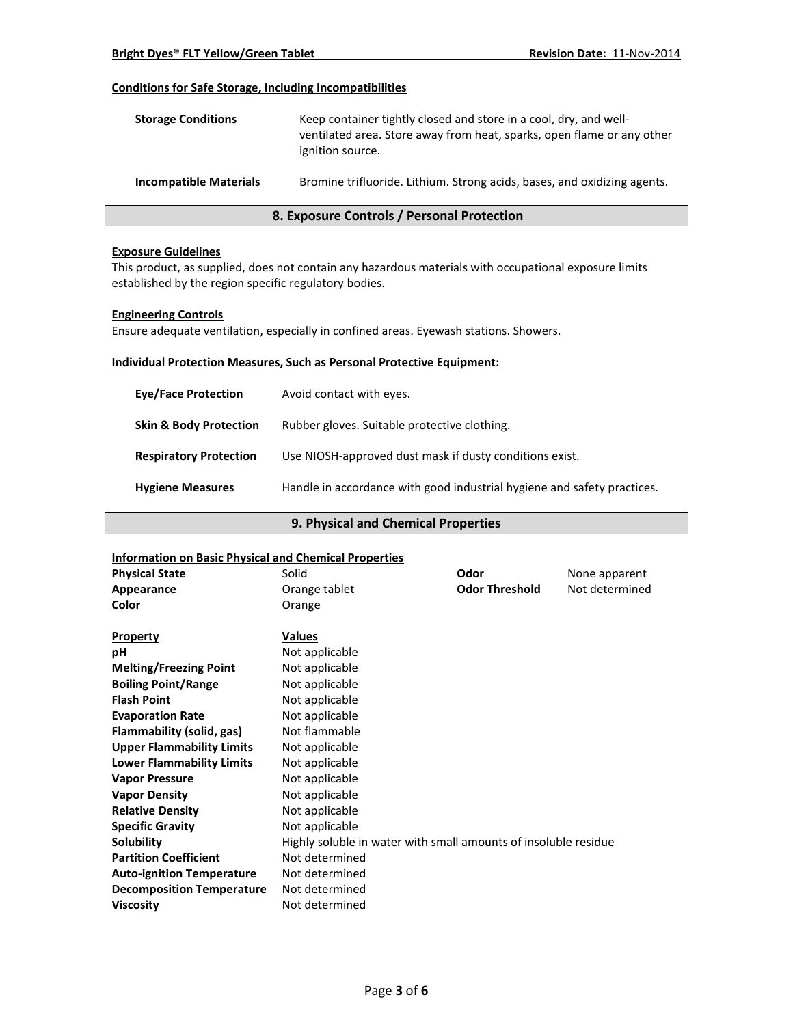#### **Conditions for Safe Storage, Including Incompatibilities**

| <b>Storage Conditions</b>     | Keep container tightly closed and store in a cool, dry, and well-<br>ventilated area. Store away from heat, sparks, open flame or any other<br>ignition source. |
|-------------------------------|-----------------------------------------------------------------------------------------------------------------------------------------------------------------|
| <b>Incompatible Materials</b> | Bromine trifluoride. Lithium. Strong acids, bases, and oxidizing agents.                                                                                        |

### **8. Exposure Controls / Personal Protection**

#### **Exposure Guidelines**

This product, as supplied, does not contain any hazardous materials with occupational exposure limits established by the region specific regulatory bodies.

#### **Engineering Controls**

Ensure adequate ventilation, especially in confined areas. Eyewash stations. Showers.

#### **Individual Protection Measures, Such as Personal Protective Equipment:**

| <b>Eve/Face Protection</b>        | Avoid contact with eyes.                                                |
|-----------------------------------|-------------------------------------------------------------------------|
| <b>Skin &amp; Body Protection</b> | Rubber gloves. Suitable protective clothing.                            |
| <b>Respiratory Protection</b>     | Use NIOSH-approved dust mask if dusty conditions exist.                 |
| <b>Hygiene Measures</b>           | Handle in accordance with good industrial hygiene and safety practices. |

#### **9. Physical and Chemical Properties**

#### **Information on Basic Physical and Chemical Properties**

| <u>IIIIUI IIIauuil UII Basic Pilysical aliu Cheniical Properties</u> |                                                                 |                       |                |
|----------------------------------------------------------------------|-----------------------------------------------------------------|-----------------------|----------------|
| <b>Physical State</b>                                                | Solid                                                           | Odor                  | None apparent  |
| Appearance                                                           | Orange tablet                                                   | <b>Odor Threshold</b> | Not determined |
| Color                                                                | Orange                                                          |                       |                |
|                                                                      |                                                                 |                       |                |
| <b>Property</b>                                                      | <b>Values</b>                                                   |                       |                |
| рH                                                                   | Not applicable                                                  |                       |                |
| <b>Melting/Freezing Point</b>                                        | Not applicable                                                  |                       |                |
| <b>Boiling Point/Range</b>                                           | Not applicable                                                  |                       |                |
| <b>Flash Point</b>                                                   | Not applicable                                                  |                       |                |
| <b>Evaporation Rate</b>                                              | Not applicable                                                  |                       |                |
| Flammability (solid, gas)                                            | Not flammable                                                   |                       |                |
| <b>Upper Flammability Limits</b>                                     | Not applicable                                                  |                       |                |
| <b>Lower Flammability Limits</b>                                     | Not applicable                                                  |                       |                |
| <b>Vapor Pressure</b>                                                | Not applicable                                                  |                       |                |
| <b>Vapor Density</b>                                                 | Not applicable                                                  |                       |                |
| <b>Relative Density</b>                                              | Not applicable                                                  |                       |                |
| <b>Specific Gravity</b>                                              | Not applicable                                                  |                       |                |
| Solubility                                                           | Highly soluble in water with small amounts of insoluble residue |                       |                |
| <b>Partition Coefficient</b>                                         | Not determined                                                  |                       |                |
| <b>Auto-ignition Temperature</b>                                     | Not determined                                                  |                       |                |
| <b>Decomposition Temperature</b>                                     | Not determined                                                  |                       |                |
| <b>Viscosity</b>                                                     | Not determined                                                  |                       |                |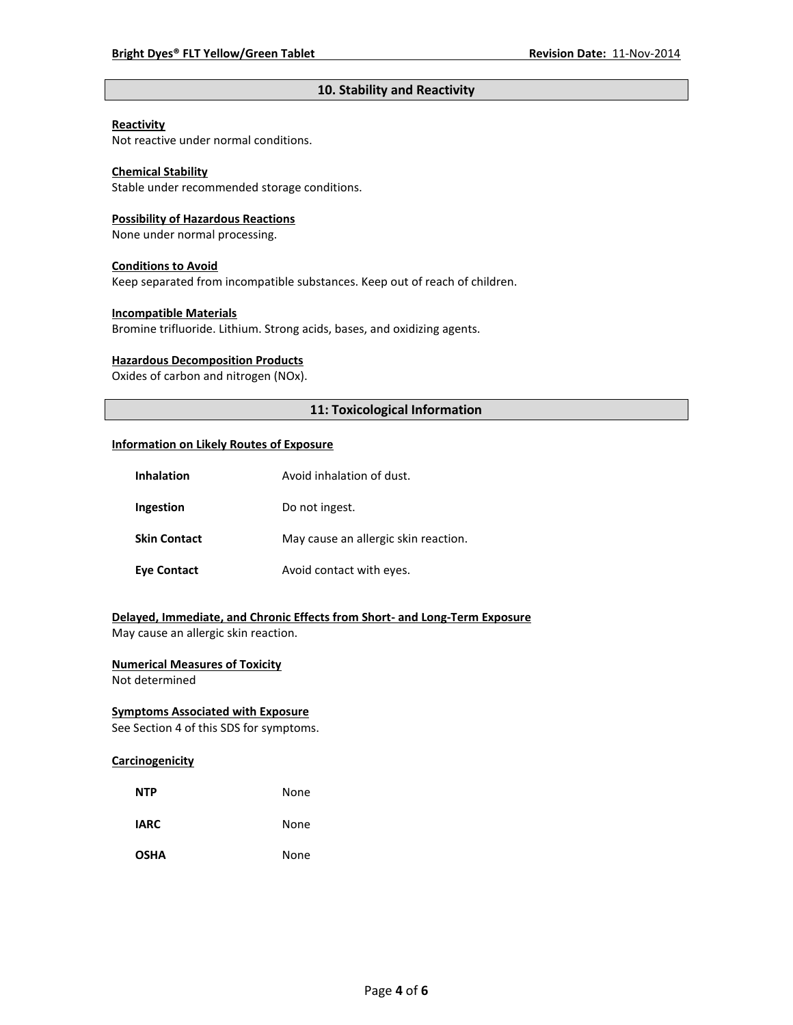#### **10. Stability and Reactivity**

#### **Reactivity**

Not reactive under normal conditions.

#### **Chemical Stability**

Stable under recommended storage conditions.

#### **Possibility of Hazardous Reactions**

None under normal processing.

#### **Conditions to Avoid**

Keep separated from incompatible substances. Keep out of reach of children.

#### **Incompatible Materials**

Bromine trifluoride. Lithium. Strong acids, bases, and oxidizing agents.

#### **Hazardous Decomposition Products**

Oxides of carbon and nitrogen (NOx).

#### **11: Toxicological Information**

#### **Information on Likely Routes of Exposure**

| <b>Inhalation</b>   | Avoid inhalation of dust.            |
|---------------------|--------------------------------------|
| Ingestion           | Do not ingest.                       |
| <b>Skin Contact</b> | May cause an allergic skin reaction. |
| <b>Eye Contact</b>  | Avoid contact with eyes.             |

## **Delayed, Immediate, and Chronic Effects from Short- and Long-Term Exposure**

May cause an allergic skin reaction.

### **Numerical Measures of Toxicity**

Not determined

#### **Symptoms Associated with Exposure**

See Section 4 of this SDS for symptoms.

#### **Carcinogenicity**

| <b>NTP</b>  | None |
|-------------|------|
| <b>IARC</b> | None |
| <b>OSHA</b> | None |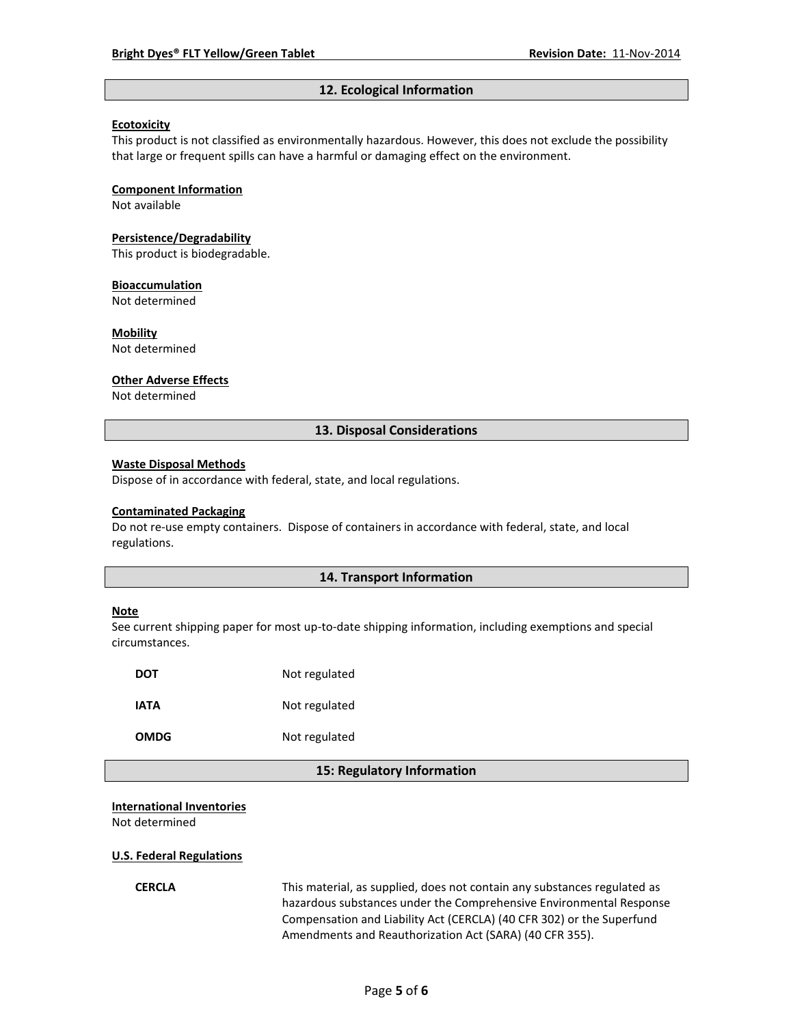#### **12. Ecological Information**

#### **Ecotoxicity**

This product is not classified as environmentally hazardous. However, this does not exclude the possibility that large or frequent spills can have a harmful or damaging effect on the environment.

#### **Component Information**

Not available

#### **Persistence/Degradability**

This product is biodegradable.

#### **Bioaccumulation**

Not determined

#### **Mobility**

Not determined

#### **Other Adverse Effects**

Not determined

#### **13. Disposal Considerations**

#### **Waste Disposal Methods**

Dispose of in accordance with federal, state, and local regulations.

#### **Contaminated Packaging**

Do not re-use empty containers.Dispose of containers in accordance with federal, state, and local regulations.

#### **14. Transport Information**

#### **Note**

See current shipping paper for most up-to-date shipping information, including exemptions and special circumstances.

| DOT         | Not regulated |
|-------------|---------------|
| IATA        | Not regulated |
| <b>OMDG</b> | Not regulated |

#### **15: Regulatory Information**

#### **International Inventories**

Not determined

#### **U.S. Federal Regulations**

**CERCLA** This material, as supplied, does not contain any substances regulated as hazardous substances under the Comprehensive Environmental Response Compensation and Liability Act (CERCLA) (40 CFR 302) or the Superfund Amendments and Reauthorization Act (SARA) (40 CFR 355).